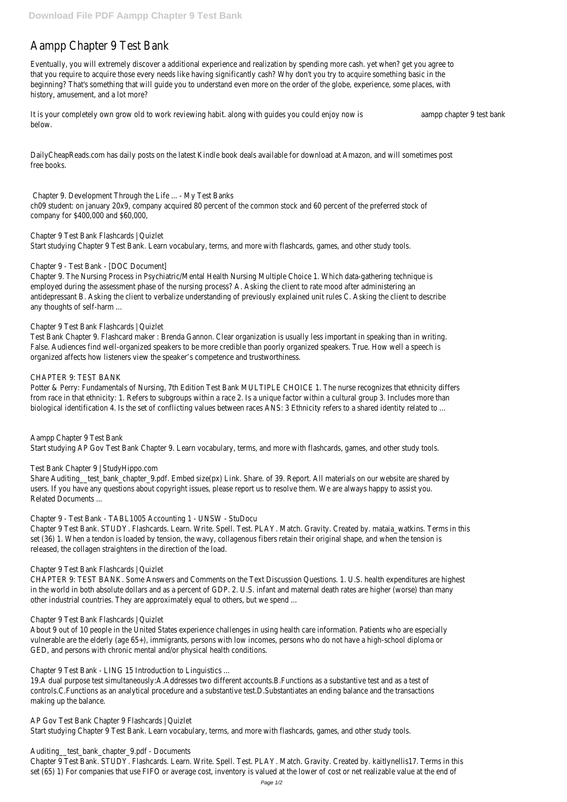# Aampp Chapter 9 Test Bank

Eventually, you will extremely discover a additional experience and realization by spending more cash. yet when? get you agree to that you require to acquire those every needs like having significantly cash? Why don't you try to acquire something basic in the beginning? That's something that will guide you to understand even more on the order of the globe, experience, some places, with history, amusement, and a lot more?

It is your completely own grow old to work reviewing habit. along with guides you could enjoy namapp chapter 9 test bank below.

DailyCheapReads.com has daily posts on the latest Kindle book deals available for download at Amazon, and will sometimes post free books.

Chapter 9. Development Through the Life ... - My Test Banks ch09 student: on january 20x9, company acquired 80 percent of the common stock and 60 percent of the preferred stock of company for \$400,000 and \$60,000,

Chapter 9 Test Bank Flashcards | Quizlet Start studying Chapter 9 Test Bank. Learn vocabulary, terms, and more with flashcards, games, and other study tools.

## Chapter 9 - Test Bank - [DOC Document]

Chapter 9. The Nursing Process in Psychiatric/Mental Health Nursing Multiple Choice 1. Which data-gathering technique is employed during the assessment phase of the nursing process? A. Asking the client to rate mood after administering an antidepressant B. Asking the client to verbalize understanding of previously explained unit rules C. Asking the client to describe any thoughts of self-harm ...

## Chapter 9 Test Bank Flashcards | Quizlet

Test Bank Chapter 9. Flashcard maker : Brenda Gannon. Clear organization is usually less important in speaking than in writing. False. Audiences find well-organized speakers to be more credible than poorly organized speakers. True. How well a speech is organized affects how listeners view the speaker's competence and trustworthiness.

## CHAPTER 9: TEST BANK

Potter & Perry: Fundamentals of Nursing, 7th Edition Test Bank MULTIPLE CHOICE 1. The nurse recognizes that ethnicity differs from race in that ethnicity: 1. Refers to subgroups within a race 2. Is a unique factor within a cultural group 3. Includes more than biological identification 4. Is the set of conflicting values between races ANS: 3 Ethnicity refers to a shared identity related to ...

Chapter 9 Test Bank. STUDY. Flashcards. Learn. Write. Spell. Test. PLAY. Match. Gravity. Created by. kaitlynellis17. Terms in this set (65) 1) For companies that use FIFO or average cost, inventory is valued at the lower of cost or net realizable value at the end

Aampp Chapter 9 Test Bank

Start studying AP Gov Test Bank Chapter 9. Learn vocabulary, terms, and more with flashcards, games, and other study tools.

## Test Bank Chapter 9 | StudyHippo.com

Share Auditing\_\_test\_bank\_chapter\_9.pdf. Embed size(px) Link. Share. of 39. Report. All materials on our website are shared by users. If you have any questions about copyright issues, please report us to resolve them. We are always happy to assist you. Related Documents ...

## Chapter 9 - Test Bank - TABL1005 Accounting 1 - UNSW - StuDocu

Chapter 9 Test Bank. STUDY. Flashcards. Learn. Write. Spell. Test. PLAY. Match. Gravity. Created by. mataia\_watkins. Terms in this set (36) 1. When a tendon is loaded by tension, the wavy, collagenous fibers retain their original shape, and when the tension is released, the collagen straightens in the direction of the load.

## Chapter 9 Test Bank Flashcards | Quizlet

CHAPTER 9: TEST BANK. Some Answers and Comments on the Text Discussion Questions. 1. U.S. health expenditures are highest in the world in both absolute dollars and as a percent of GDP. 2. U.S. infant and maternal death rates are higher (worse) than many other industrial countries. They are approximately equal to others, but we spend ...

Chapter 9 Test Bank Flashcards | Quizlet

About 9 out of 10 people in the United States experience challenges in using health care information. Patients who are especially vulnerable are the elderly (age 65+), immigrants, persons with low incomes, persons who do not have a high-school diploma or GED, and persons with chronic mental and/or physical health conditions.

Chapter 9 Test Bank - LING 15 Introduction to Linguistics ...

19.A dual purpose test simultaneously:A.Addresses two different accounts.B.Functions as a substantive test and as a test of controls.C.Functions as an analytical procedure and a substantive test.D.Substantiates an ending balance and the transactions making up the balance.

AP Gov Test Bank Chapter 9 Flashcards | Quizlet Start studying Chapter 9 Test Bank. Learn vocabulary, terms, and more with flashcards, games, and other study tools.

Auditing\_\_test\_bank\_chapter\_9.pdf - Documents